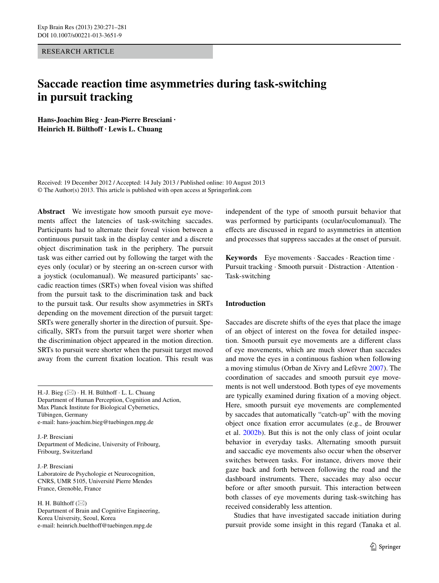RESEARCH ARTICLE

# **Saccade reaction time asymmetries during task‑switching in pursuit tracking**

**Hans‑Joachim Bieg · Jean‑Pierre Bresciani · Heinrich H. Bülthoff · Lewis L. Chuang**

Received: 19 December 2012 / Accepted: 14 July 2013 / Published online: 10 August 2013 © The Author(s) 2013. This article is published with open access at Springerlink.com

**Abstract** We investigate how smooth pursuit eye movements affect the latencies of task-switching saccades. Participants had to alternate their foveal vision between a continuous pursuit task in the display center and a discrete object discrimination task in the periphery. The pursuit task was either carried out by following the target with the eyes only (ocular) or by steering an on-screen cursor with a joystick (oculomanual). We measured participants' saccadic reaction times (SRTs) when foveal vision was shifted from the pursuit task to the discrimination task and back to the pursuit task. Our results show asymmetries in SRTs depending on the movement direction of the pursuit target: SRTs were generally shorter in the direction of pursuit. Specifically, SRTs from the pursuit target were shorter when the discrimination object appeared in the motion direction. SRTs to pursuit were shorter when the pursuit target moved away from the current fixation location. This result was

H.-J. Bieg  $(\boxtimes) \cdot$  H. H. Bülthoff  $\cdot$  L. L. Chuang Department of Human Perception, Cognition and Action, Max Planck Institute for Biological Cybernetics, Tübingen, Germany e-mail: hans-joachim.bieg@tuebingen.mpg.de

J.-P. Bresciani Department of Medicine, University of Fribourg, Fribourg, Switzerland

J.-P. Bresciani Laboratoire de Psychologie et Neurocognition, CNRS, UMR 5105, Université Pierre Mendes France, Grenoble, France

H. H. Bülthoff  $(\boxtimes)$ Department of Brain and Cognitive Engineering, Korea University, Seoul, Korea e-mail: heinrich.buelthoff@tuebingen.mpg.de

independent of the type of smooth pursuit behavior that was performed by participants (ocular/oculomanual). The effects are discussed in regard to asymmetries in attention and processes that suppress saccades at the onset of pursuit.

**Keywords** Eye movements · Saccades · Reaction time · Pursuit tracking · Smooth pursuit · Distraction · Attention · Task-switching

#### **Introduction**

Saccades are discrete shifts of the eyes that place the image of an object of interest on the fovea for detailed inspection. Smooth pursuit eye movements are a different class of eye movements, which are much slower than saccades and move the eyes in a continuous fashion when following a moving stimulus (Orban de Xivry and Lefèvre [2007\)](#page-9-0). The coordination of saccades and smooth pursuit eye movements is not well understood. Both types of eye movements are typically examined during fixation of a moving object. Here, smooth pursuit eye movements are complemented by saccades that automatically "catch-up" with the moving object once fixation error accumulates (e.g., de Brouwer et al. [2002b\)](#page-9-1). But this is not the only class of joint ocular behavior in everyday tasks. Alternating smooth pursuit and saccadic eye movements also occur when the observer switches between tasks. For instance, drivers move their gaze back and forth between following the road and the dashboard instruments. There, saccades may also occur before or after smooth pursuit. This interaction between both classes of eye movements during task-switching has received considerably less attention.

Studies that have investigated saccade initiation during pursuit provide some insight in this regard (Tanaka et al.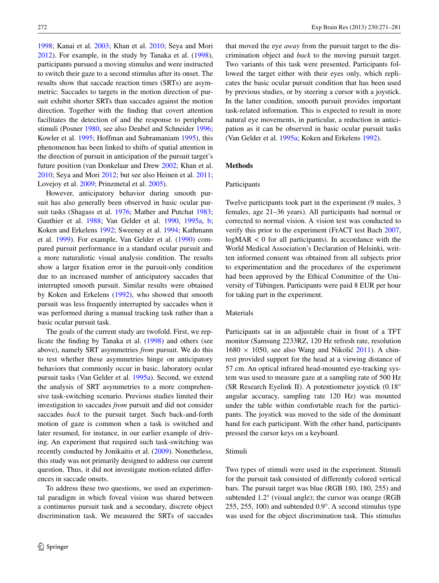[1998](#page-9-2); Kanai et al. [2003;](#page-9-3) Khan et al. [2010;](#page-9-4) Seya and Mori [2012](#page-9-5)). For example, in the study by Tanaka et al. [\(1998](#page-9-2)), participants pursued a moving stimulus and were instructed to switch their gaze to a second stimulus after its onset. The results show that saccade reaction times (SRTs) are asymmetric: Saccades to targets in the motion direction of pursuit exhibit shorter SRTs than saccades against the motion direction. Together with the finding that covert attention facilitates the detection of and the response to peripheral stimuli (Posner [1980,](#page-9-6) see also Deubel and Schneider [1996](#page-9-7); Kowler et al. [1995;](#page-9-8) Hoffman and Subramaniam [1995\)](#page-9-9), this phenomenon has been linked to shifts of spatial attention in the direction of pursuit in anticipation of the pursuit target's future position (van Donkelaar and Drew [2002](#page-10-0); Khan et al. [2010](#page-9-4); Seya and Mori [2012;](#page-9-5) but see also Heinen et al. [2011](#page-9-10); Lovejoy et al. [2009](#page-9-11); Prinzmetal et al. [2005](#page-9-12)).

However, anticipatory behavior during smooth pursuit has also generally been observed in basic ocular pursuit tasks (Shagass et al. [1976;](#page-9-13) Mather and Putchat [1983](#page-9-14); Gauthier et al. [1988](#page-9-15); Van Gelder et al. [1990,](#page-10-1) [1995a](#page-10-2), [b](#page-10-3); Koken and Erkelens [1992;](#page-9-16) Sweeney et al. [1994;](#page-9-17) Kathmann et al. [1999\)](#page-9-18). For example, Van Gelder et al. [\(1990](#page-10-1)) compared pursuit performance in a standard ocular pursuit and a more naturalistic visual analysis condition. The results show a larger fixation error in the pursuit-only condition due to an increased number of anticipatory saccades that interrupted smooth pursuit. Similar results were obtained by Koken and Erkelens ([1992\)](#page-9-16), who showed that smooth pursuit was less frequently interrupted by saccades when it was performed during a manual tracking task rather than a basic ocular pursuit task.

The goals of the current study are twofold. First, we replicate the finding by Tanaka et al. [\(1998](#page-9-2)) and others (see above), namely SRT asymmetries *from* pursuit. We do this to test whether these asymmetries hinge on anticipatory behaviors that commonly occur in basic, laboratory ocular pursuit tasks (Van Gelder et al. [1995a](#page-10-2)). Second, we extend the analysis of SRT asymmetries to a more comprehensive task-switching scenario. Previous studies limited their investigation to saccades *from* pursuit and did not consider saccades *back* to the pursuit target. Such back-and-forth motion of gaze is common when a task is switched and later resumed, for instance, in our earlier example of driving. An experiment that required such task-switching was recently conducted by Jonikaitis et al. [\(2009](#page-9-19)). Nonetheless, this study was not primarily designed to address our current question. Thus, it did not investigate motion-related differences in saccade onsets.

To address these two questions, we used an experimental paradigm in which foveal vision was shared between a continuous pursuit task and a secondary, discrete object discrimination task. We measured the SRTs of saccades

that moved the eye *away* from the pursuit target to the discrimination object and *back* to the moving pursuit target. Two variants of this task were presented. Participants followed the target either with their eyes only, which replicates the basic ocular pursuit condition that has been used by previous studies, or by steering a cursor with a joystick. In the latter condition, smooth pursuit provides important task-related information. This is expected to result in more natural eye movements, in particular, a reduction in anticipation as it can be observed in basic ocular pursuit tasks (Van Gelder et al. [1995a;](#page-10-2) Koken and Erkelens [1992\)](#page-9-16).

# **Methods**

# Participants

Twelve participants took part in the experiment (9 males, 3 females, age 21–36 years). All participants had normal or corrected to normal vision. A vision test was conducted to verify this prior to the experiment (FrACT test Bach [2007,](#page-8-0)  $log<sub>MR</sub> < 0$  for all participants). In accordance with the World Medical Association's Declaration of Helsinki, written informed consent was obtained from all subjects prior to experimentation and the procedures of the experiment had been approved by the Ethical Committee of the University of Tübingen. Participants were paid 8 EUR per hour for taking part in the experiment.

# Materials

Participants sat in an adjustable chair in front of a TFT monitor (Samsung 2233RZ, 120 Hz refresh rate, resolution  $1680 \times 1050$ , see also Wang and Nikolić [2011](#page-10-4)). A chinrest provided support for the head at a viewing distance of 57 cm. An optical infrared head-mounted eye-tracking system was used to measure gaze at a sampling rate of 500 Hz (SR Research Eyelink II). A potentiometer joystick (0.18° angular accuracy, sampling rate 120 Hz) was mounted under the table within comfortable reach for the participants. The joystick was moved to the side of the dominant hand for each participant. With the other hand, participants pressed the cursor keys on a keyboard.

# Stimuli

Two types of stimuli were used in the experiment. Stimuli for the pursuit task consisted of differently colored vertical bars. The pursuit target was blue (RGB 180, 180, 255) and subtended 1.2° (visual angle); the cursor was orange (RGB 255, 255, 100) and subtended 0.9°. A second stimulus type was used for the object discrimination task. This stimulus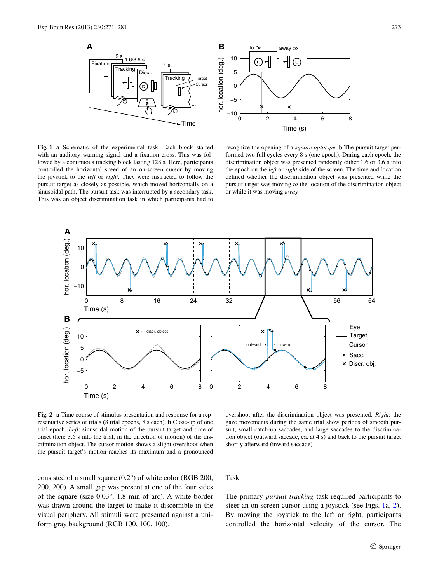

<span id="page-2-0"></span>**Fig. 1 a** Schematic of the experimental task. Each block started with an auditory warning signal and a fixation cross. This was followed by a continuous tracking block lasting 128 s. Here, participants controlled the horizontal speed of an on-screen cursor by moving the joystick to the *left* or *right*. They were instructed to follow the pursuit target as closely as possible, which moved horizontally on a sinusoidal path. The pursuit task was interrupted by a secondary task. This was an object discrimination task in which participants had to

recognize the opening of a *square optotype*. **b** The pursuit target performed two full cycles every 8 s (one epoch). During each epoch, the discrimination object was presented randomly either 1.6 or 3.6 s into the epoch on the *left* or *right* side of the screen. The time and location defined whether the discrimination object was presented while the pursuit target was moving *to* the location of the discrimination object or while it was moving *away*



<span id="page-2-1"></span>**Fig. 2 a** Time course of stimulus presentation and response for a representative series of trials (8 trial epochs, 8 s each). **b** Close-up of one trial epoch. *Left*: sinusoidal motion of the pursuit target and time of onset (here 3.6 s into the trial, in the direction of motion) of the discrimination object. The cursor motion shows a slight overshoot when the pursuit target's motion reaches its maximum and a pronounced

overshoot after the discrimination object was presented. *Right*: the gaze movements during the same trial show periods of smooth pursuit, small catch-up saccades, and large saccades to the discrimination object (outward saccade, ca. at 4 s) and back to the pursuit target shortly afterward (inward saccade)

consisted of a small square (0.2°) of white color (RGB 200, 200, 200). A small gap was present at one of the four sides of the square (size 0.03°, 1.8 min of arc). A white border was drawn around the target to make it discernible in the visual periphery. All stimuli were presented against a uniform gray background (RGB 100, 100, 100).

#### Task

The primary *pursuit tracking* task required participants to steer an on-screen cursor using a joystick (see Figs. [1a](#page-2-0), [2](#page-2-1)). By moving the joystick to the left or right, participants controlled the horizontal velocity of the cursor. The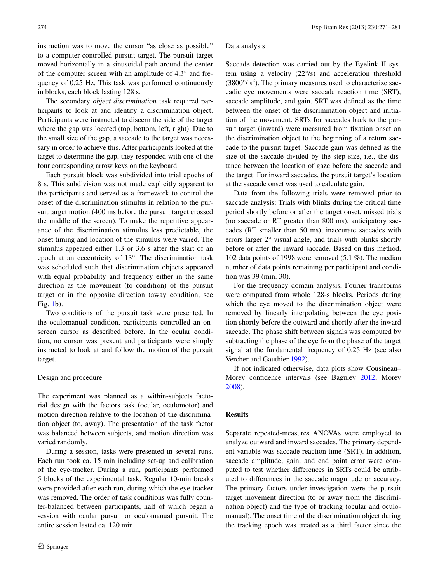instruction was to move the cursor "as close as possible" to a computer-controlled pursuit target. The pursuit target moved horizontally in a sinusoidal path around the center of the computer screen with an amplitude of 4.3° and frequency of 0.25 Hz. This task was performed continuously in blocks, each block lasting 128 s.

The secondary *object discrimination* task required participants to look at and identify a discrimination object. Participants were instructed to discern the side of the target where the gap was located (top, bottom, left, right). Due to the small size of the gap, a saccade to the target was necessary in order to achieve this. After participants looked at the target to determine the gap, they responded with one of the four corresponding arrow keys on the keyboard.

Each pursuit block was subdivided into trial epochs of 8 s. This subdivision was not made explicitly apparent to the participants and served as a framework to control the onset of the discrimination stimulus in relation to the pursuit target motion (400 ms before the pursuit target crossed the middle of the screen). To make the repetitive appearance of the discrimination stimulus less predictable, the onset timing and location of the stimulus were varied. The stimulus appeared either 1.3 or 3.6 s after the start of an epoch at an eccentricity of 13°. The discrimination task was scheduled such that discrimination objects appeared with equal probability and frequency either in the same direction as the movement (to condition) of the pursuit target or in the opposite direction (away condition, see Fig. [1b](#page-2-0)).

Two conditions of the pursuit task were presented. In the oculomanual condition, participants controlled an onscreen cursor as described before. In the ocular condition, no cursor was present and participants were simply instructed to look at and follow the motion of the pursuit target.

# Design and procedure

The experiment was planned as a within-subjects factorial design with the factors task (ocular, oculomotor) and motion direction relative to the location of the discrimination object (to, away). The presentation of the task factor was balanced between subjects, and motion direction was varied randomly.

During a session, tasks were presented in several runs. Each run took ca. 15 min including set-up and calibration of the eye-tracker. During a run, participants performed 5 blocks of the experimental task. Regular 10-min breaks were provided after each run, during which the eye-tracker was removed. The order of task conditions was fully counter-balanced between participants, half of which began a session with ocular pursuit or oculomanual pursuit. The entire session lasted ca. 120 min.

#### Data analysis

Saccade detection was carried out by the Eyelink II system using a velocity (22°/s) and acceleration threshold  $(3800^{\circ}/ \text{ s}^2)$ . The primary measures used to characterize saccadic eye movements were saccade reaction time (SRT), saccade amplitude, and gain. SRT was defined as the time between the onset of the discrimination object and initiation of the movement. SRTs for saccades back to the pursuit target (inward) were measured from fixation onset on the discrimination object to the beginning of a return saccade to the pursuit target. Saccade gain was defined as the size of the saccade divided by the step size, i.e., the distance between the location of gaze before the saccade and the target. For inward saccades, the pursuit target's location at the saccade onset was used to calculate gain.

Data from the following trials were removed prior to saccade analysis: Trials with blinks during the critical time period shortly before or after the target onset, missed trials (no saccade or RT greater than 800 ms), anticipatory saccades (RT smaller than 50 ms), inaccurate saccades with errors larger 2° visual angle, and trials with blinks shortly before or after the inward saccade. Based on this method, 102 data points of 1998 were removed (5.1 %). The median number of data points remaining per participant and condition was 39 (min. 30).

For the frequency domain analysis, Fourier transforms were computed from whole 128-s blocks. Periods during which the eye moved to the discrimination object were removed by linearly interpolating between the eye position shortly before the outward and shortly after the inward saccade. The phase shift between signals was computed by subtracting the phase of the eye from the phase of the target signal at the fundamental frequency of 0.25 Hz (see also Vercher and Gauthier [1992](#page-10-5)).

If not indicated otherwise, data plots show Cousineau– Morey confidence intervals (see Baguley [2012](#page-8-1); Morey [2008](#page-9-20)).

#### **Results**

Separate repeated-measures ANOVAs were employed to analyze outward and inward saccades. The primary dependent variable was saccade reaction time (SRT). In addition, saccade amplitude, gain, and end point error were computed to test whether differences in SRTs could be attributed to differences in the saccade magnitude or accuracy. The primary factors under investigation were the pursuit target movement direction (to or away from the discrimination object) and the type of tracking (ocular and oculomanual). The onset time of the discrimination object during the tracking epoch was treated as a third factor since the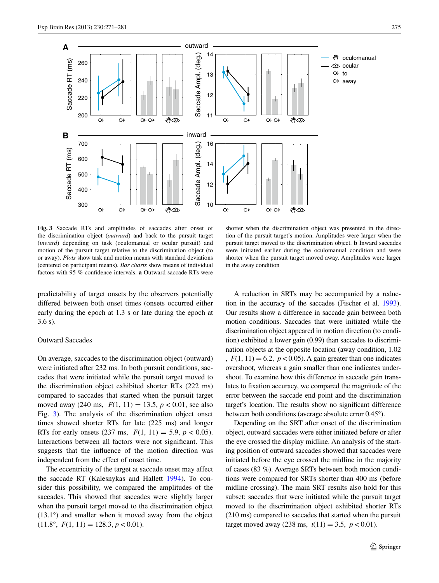

<span id="page-4-0"></span>**Fig. 3** Saccade RTs and amplitudes of saccades after onset of the discrimination object (*outward*) and back to the pursuit target (*inward*) depending on task (oculomanual or ocular pursuit) and motion of the pursuit target relative to the discrimination object (to or away). *Plots* show task and motion means with standard deviations (centered on participant means). *Bar charts* show means of individual factors with 95 % confidence intervals. **a** Outward saccade RTs were

predictability of target onsets by the observers potentially differed between both onset times (onsets occurred either early during the epoch at 1.3 s or late during the epoch at 3.6 s).

#### Outward Saccades

On average, saccades to the discrimination object (outward) were initiated after 232 ms. In both pursuit conditions, saccades that were initiated while the pursuit target moved to the discrimination object exhibited shorter RTs (222 ms) compared to saccades that started when the pursuit target moved away (240 ms,  $F(1, 11) = 13.5, p < 0.01$ , see also Fig. [3\)](#page-4-0). The analysis of the discrimination object onset times showed shorter RTs for late (225 ms) and longer RTs for early onsets (237 ms,  $F(1, 11) = 5.9, p < 0.05$ ). Interactions between all factors were not significant. This suggests that the influence of the motion direction was independent from the effect of onset time.

The eccentricity of the target at saccade onset may affect the saccade RT (Kalesnykas and Hallett [1994\)](#page-9-21). To consider this possibility, we compared the amplitudes of the saccades. This showed that saccades were slightly larger when the pursuit target moved to the discrimination object (13.1°) and smaller when it moved away from the object  $(11.8^{\circ}, F(1, 11) = 128.3, p < 0.01).$ 

shorter when the discrimination object was presented in the direction of the pursuit target's motion. Amplitudes were larger when the pursuit target moved to the discrimination object. **b** Inward saccades were initiated earlier during the oculomanual condition and were shorter when the pursuit target moved away. Amplitudes were larger in the away condition

A reduction in SRTs may be accompanied by a reduction in the accuracy of the saccades (Fischer et al. [1993\)](#page-9-22). Our results show a difference in saccade gain between both motion conditions. Saccades that were initiated while the discrimination object appeared in motion direction (to condition) exhibited a lower gain (0.99) than saccades to discrimination objects at the opposite location (away condition, 1.02  $F(1, 11) = 6.2$ ,  $p < 0.05$ ). A gain greater than one indicates overshoot, whereas a gain smaller than one indicates undershoot. To examine how this difference in saccade gain translates to fixation accuracy, we compared the magnitude of the error between the saccade end point and the discrimination target's location. The results show no significant difference between both conditions (average absolute error 0.45°).

Depending on the SRT after onset of the discrimination object, outward saccades were either initiated before or after the eye crossed the display midline. An analysis of the starting position of outward saccades showed that saccades were initiated before the eye crossed the midline in the majority of cases (83 %). Average SRTs between both motion conditions were compared for SRTs shorter than 400 ms (before midline crossing). The main SRT results also hold for this subset: saccades that were initiated while the pursuit target moved to the discrimination object exhibited shorter RTs (210 ms) compared to saccades that started when the pursuit target moved away (238 ms,  $t(11) = 3.5$ ,  $p < 0.01$ ).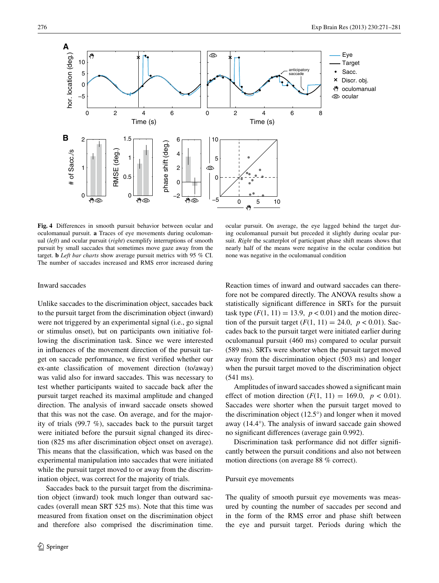

<span id="page-5-0"></span>**Fig. 4** Differences in smooth pursuit behavior between ocular and oculomanual pursuit. **a** Traces of eye movements during oculomanual (*left*) and ocular pursuit (*right*) exemplify interruptions of smooth pursuit by small saccades that sometimes move gaze away from the target. **b** *Left bar charts* show average pursuit metrics with 95 % CI. The number of saccades increased and RMS error increased during

#### Inward saccades

Unlike saccades to the discrimination object, saccades back to the pursuit target from the discrimination object (inward) were not triggered by an experimental signal (i.e., go signal or stimulus onset), but on participants own initiative following the discrimination task. Since we were interested in influences of the movement direction of the pursuit target on saccade performance, we first verified whether our ex-ante classification of movement direction (to/away) was valid also for inward saccades. This was necessary to test whether participants waited to saccade back after the pursuit target reached its maximal amplitude and changed direction. The analysis of inward saccade onsets showed that this was not the case. On average, and for the majority of trials (99.7 %), saccades back to the pursuit target were initiated before the pursuit signal changed its direction (825 ms after discrimination object onset on average). This means that the classification, which was based on the experimental manipulation into saccades that were initiated while the pursuit target moved to or away from the discrimination object, was correct for the majority of trials.

Saccades back to the pursuit target from the discrimination object (inward) took much longer than outward saccades (overall mean SRT 525 ms). Note that this time was measured from fixation onset on the discrimination object and therefore also comprised the discrimination time.

ocular pursuit. On average, the eye lagged behind the target during oculomanual pursuit but preceded it slightly during ocular pursuit. *Right* the scatterplot of participant phase shift means shows that nearly half of the means were negative in the ocular condition but none was negative in the oculomanual condition

Reaction times of inward and outward saccades can therefore not be compared directly. The ANOVA results show a statistically significant difference in SRTs for the pursuit task type  $(F(1, 11) = 13.9, p < 0.01)$  and the motion direction of the pursuit target  $(F(1, 11) = 24.0, p < 0.01)$ . Saccades back to the pursuit target were initiated earlier during oculomanual pursuit (460 ms) compared to ocular pursuit (589 ms). SRTs were shorter when the pursuit target moved away from the discrimination object (503 ms) and longer when the pursuit target moved to the discrimination object (541 ms).

Amplitudes of inward saccades showed a significant main effect of motion direction  $(F(1, 11) = 169.0, p < 0.01)$ . Saccades were shorter when the pursuit target moved to the discrimination object (12.5°) and longer when it moved away (14.4°). The analysis of inward saccade gain showed no significant differences (average gain 0.992).

Discrimination task performance did not differ significantly between the pursuit conditions and also not between motion directions (on average 88 % correct).

#### Pursuit eye movements

The quality of smooth pursuit eye movements was measured by counting the number of saccades per second and in the form of the RMS error and phase shift between the eye and pursuit target. Periods during which the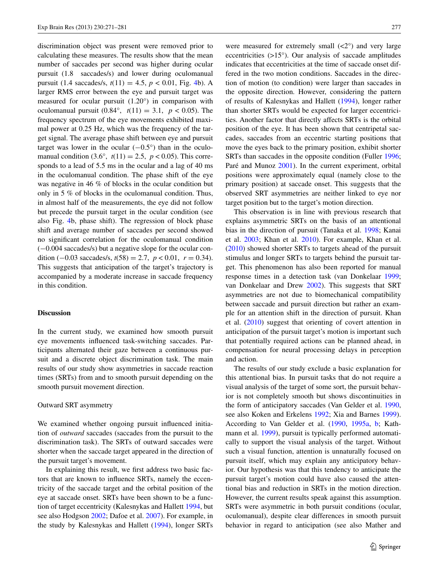discrimination object was present were removed prior to calculating these measures. The results show that the mean number of saccades per second was higher during ocular pursuit (1.8 saccades/s) and lower during oculomanual pursuit (1.[4](#page-5-0) saccades/s,  $t(11) = 4.5$ ,  $p < 0.01$ , Fig. 4b). A larger RMS error between the eye and pursuit target was measured for ocular pursuit (1.20°) in comparison with oculomanual pursuit  $(0.84^{\circ}, t(11) = 3.1, p < 0.05)$ . The frequency spectrum of the eye movements exhibited maximal power at 0.25 Hz, which was the frequency of the target signal. The average phase shift between eye and pursuit target was lower in the ocular  $(-0.5^{\circ})$  than in the oculomanual condition (3.6°,  $t(11) = 2.5$ ,  $p < 0.05$ ). This corresponds to a lead of 5.5 ms in the ocular and a lag of 40 ms in the oculomanual condition. The phase shift of the eye was negative in 46 % of blocks in the ocular condition but only in 5 % of blocks in the oculomanual condition. Thus, in almost half of the measurements, the eye did not follow but precede the pursuit target in the ocular condition (see also Fig. [4](#page-5-0)b, phase shift). The regression of block phase shift and average number of saccades per second showed no significant correlation for the oculomanual condition (−0.004 saccades/s) but a negative slope for the ocular condition  $(-0.03 \text{ saccades/s}, t(58) = 2.7, p < 0.01, r = 0.34)$ . This suggests that anticipation of the target's trajectory is accompanied by a moderate increase in saccade frequency in this condition.

# **Discussion**

In the current study, we examined how smooth pursuit eye movements influenced task-switching saccades. Participants alternated their gaze between a continuous pursuit and a discrete object discrimination task. The main results of our study show asymmetries in saccade reaction times (SRTs) from and to smooth pursuit depending on the smooth pursuit movement direction.

#### Outward SRT asymmetry

We examined whether ongoing pursuit influenced initiation of *outward* saccades (saccades from the pursuit to the discrimination task). The SRTs of outward saccades were shorter when the saccade target appeared in the direction of the pursuit target's movement.

In explaining this result, we first address two basic factors that are known to influence SRTs, namely the eccentricity of the saccade target and the orbital position of the eye at saccade onset. SRTs have been shown to be a function of target eccentricity (Kalesnykas and Hallett [1994,](#page-9-21) but see also Hodgson [2002;](#page-9-23) Dafoe et al. [2007\)](#page-9-24). For example, in the study by Kalesnykas and Hallett ([1994\)](#page-9-21), longer SRTs

were measured for extremely small  $( $2^{\circ}$ )$  and very large eccentricities (>15°). Our analysis of saccade amplitudes indicates that eccentricities at the time of saccade onset differed in the two motion conditions. Saccades in the direction of motion (to condition) were larger than saccades in the opposite direction. However, considering the pattern of results of Kalesnykas and Hallett [\(1994](#page-9-21)), longer rather than shorter SRTs would be expected for larger eccentricities. Another factor that directly affects SRTs is the orbital position of the eye. It has been shown that centripetal saccades, saccades from an eccentric starting positions that move the eyes back to the primary position, exhibit shorter SRTs than saccades in the opposite condition (Fuller [1996](#page-9-25); Paré and Munoz [2001\)](#page-9-26). In the current experiment, orbital positions were approximately equal (namely close to the primary position) at saccade onset. This suggests that the observed SRT asymmetries are neither linked to eye nor target position but to the target's motion direction.

This observation is in line with previous research that explains asymmetric SRTs on the basis of an attentional bias in the direction of pursuit (Tanaka et al. [1998](#page-9-2); Kanai et al. [2003](#page-9-3); Khan et al. [2010](#page-9-4)). For example, Khan et al. [\(2010](#page-9-4)) showed shorter SRTs to targets ahead of the pursuit stimulus and longer SRTs to targets behind the pursuit target. This phenomenon has also been reported for manual response times in a detection task (van Donkelaar [1999](#page-10-6); van Donkelaar and Drew [2002](#page-10-0)). This suggests that SRT asymmetries are not due to biomechanical compatibility between saccade and pursuit direction but rather an example for an attention shift in the direction of pursuit. Khan et al. ([2010\)](#page-9-4) suggest that orienting of covert attention in anticipation of the pursuit target's motion is important such that potentially required actions can be planned ahead, in compensation for neural processing delays in perception and action.

The results of our study exclude a basic explanation for this attentional bias. In pursuit tasks that do not require a visual analysis of the target of some sort, the pursuit behavior is not completely smooth but shows discontinuities in the form of anticipatory saccades (Van Gelder et al. [1990,](#page-10-1) see also Koken and Erkelens [1992](#page-9-16); Xia and Barnes [1999](#page-10-7)). According to Van Gelder et al. [\(1990](#page-10-1), [1995a](#page-10-2), [b;](#page-10-3) Kathmann et al. [1999](#page-9-18)), pursuit is typically performed automatically to support the visual analysis of the target. Without such a visual function, attention is unnaturally focused on pursuit itself, which may explain any anticipatory behavior. Our hypothesis was that this tendency to anticipate the pursuit target's motion could have also caused the attentional bias and reduction in SRTs in the motion direction. However, the current results speak against this assumption. SRTs were asymmetric in both pursuit conditions (ocular, oculomanual), despite clear differences in smooth pursuit behavior in regard to anticipation (see also Mather and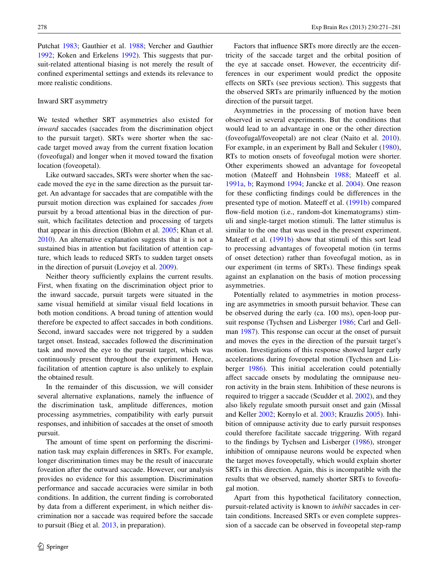Putchat [1983;](#page-9-14) Gauthier et al. [1988;](#page-9-15) Vercher and Gauthier [1992](#page-10-5); Koken and Erkelens [1992\)](#page-9-16). This suggests that pursuit-related attentional biasing is not merely the result of confined experimental settings and extends its relevance to more realistic conditions.

#### Inward SRT asymmetry

We tested whether SRT asymmetries also existed for *inward* saccades (saccades from the discrimination object to the pursuit target). SRTs were shorter when the saccade target moved away from the current fixation location (foveofugal) and longer when it moved toward the fixation location (foveopetal).

Like outward saccades, SRTs were shorter when the saccade moved the eye in the same direction as the pursuit target. An advantage for saccades that are compatible with the pursuit motion direction was explained for saccades *from* pursuit by a broad attentional bias in the direction of pursuit, which facilitates detection and processing of targets that appear in this direction (Blohm et al. [2005;](#page-8-2) Khan et al. [2010](#page-9-4)). An alternative explanation suggests that it is not a sustained bias in attention but facilitation of attention capture, which leads to reduced SRTs to sudden target onsets in the direction of pursuit (Lovejoy et al. [2009\)](#page-9-11).

Neither theory sufficiently explains the current results. First, when fixating on the discrimination object prior to the inward saccade, pursuit targets were situated in the same visual hemifield at similar visual field locations in both motion conditions. A broad tuning of attention would therefore be expected to affect saccades in both conditions. Second, inward saccades were not triggered by a sudden target onset. Instead, saccades followed the discrimination task and moved the eye to the pursuit target, which was continuously present throughout the experiment. Hence, facilitation of attention capture is also unlikely to explain the obtained result.

In the remainder of this discussion, we will consider several alternative explanations, namely the influence of the discrimination task, amplitude differences, motion processing asymmetries, compatibility with early pursuit responses, and inhibition of saccades at the onset of smooth pursuit.

The amount of time spent on performing the discrimination task may explain differences in SRTs. For example, longer discrimination times may be the result of inaccurate foveation after the outward saccade. However, our analysis provides no evidence for this assumption. Discrimination performance and saccade accuracies were similar in both conditions. In addition, the current finding is corroborated by data from a different experiment, in which neither discrimination nor a saccade was required before the saccade to pursuit (Bieg et al. [2013](#page-8-3), in preparation).

Factors that influence SRTs more directly are the eccentricity of the saccade target and the orbital position of the eye at saccade onset. However, the eccentricity differences in our experiment would predict the opposite effects on SRTs (see previous section). This suggests that the observed SRTs are primarily influenced by the motion direction of the pursuit target.

Asymmetries in the processing of motion have been observed in several experiments. But the conditions that would lead to an advantage in one or the other direction (foveofugal/foveopetal) are not clear (Naito et al. [2010](#page-9-27)). For example, in an experiment by Ball and Sekuler [\(1980](#page-8-4)), RTs to motion onsets of foveofugal motion were shorter. Other experiments showed an advantage for foveopetal motion (Mateeff and Hohnsbein [1988;](#page-9-28) Mateeff et al. [1991a,](#page-9-29) [b](#page-9-30); Raymond [1994;](#page-9-31) Jancke et al. [2004](#page-9-32)). One reason for these conflicting findings could be differences in the presented type of motion. Mateeff et al. [\(1991b](#page-9-30)) compared flow-field motion (i.e., random-dot kinematograms) stimuli and single-target motion stimuli. The latter stimulus is similar to the one that was used in the present experiment. Mateeff et al. ([1991b](#page-9-30)) show that stimuli of this sort lead to processing advantages of foveopetal motion (in terms of onset detection) rather than foveofugal motion, as in our experiment (in terms of SRTs). These findings speak against an explanation on the basis of motion processing asymmetries.

Potentially related to asymmetries in motion processing are asymmetries in smooth pursuit behavior. These can be observed during the early (ca. 100 ms), open-loop pursuit response (Tychsen and Lisberger [1986](#page-9-33); Carl and Gellman [1987](#page-9-34)). This response can occur at the onset of pursuit and moves the eyes in the direction of the pursuit target's motion. Investigations of this response showed larger early accelerations during foveopetal motion (Tychsen and Lisberger [1986\)](#page-9-33). This initial acceleration could potentially affect saccade onsets by modulating the omnipause neuron activity in the brain stem. Inhibition of these neurons is required to trigger a saccade (Scudder et al. [2002](#page-9-35)), and they also likely regulate smooth pursuit onset and gain (Missal and Keller [2002;](#page-9-36) Kornylo et al. [2003](#page-9-37); Krauzlis [2005](#page-9-38)). Inhibition of omnipause activity due to early pursuit responses could therefore facilitate saccade triggering. With regard to the findings by Tychsen and Lisberger [\(1986](#page-9-33)), stronger inhibition of omnipause neurons would be expected when the target moves foveopetally, which would explain shorter SRTs in this direction. Again, this is incompatible with the results that we observed, namely shorter SRTs to foveofugal motion.

Apart from this hypothetical facilitatory connection, pursuit-related activity is known to *inhibit* saccades in certain conditions. Increased SRTs or even complete suppression of a saccade can be observed in foveopetal step-ramp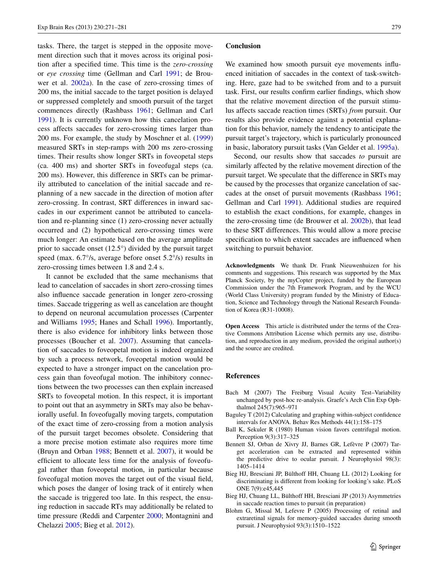tasks. There, the target is stepped in the opposite movement direction such that it moves across its original position after a specified time. This time is the *zero-crossing* or *eye crossing* time (Gellman and Carl [1991;](#page-9-39) de Brouwer et al. [2002a](#page-9-40)). In the case of zero-crossing times of 200 ms, the initial saccade to the target position is delayed or suppressed completely and smooth pursuit of the target commences directly (Rashbass [1961](#page-9-41); Gellman and Carl [1991](#page-9-39)). It is currently unknown how this cancelation process affects saccades for zero-crossing times larger than 200 ms. For example, the study by Moschner et al. ([1999\)](#page-9-42) measured SRTs in step-ramps with 200 ms zero-crossing times. Their results show longer SRTs in foveopetal steps (ca. 400 ms) and shorter SRTs in foveofugal steps (ca. 200 ms). However, this difference in SRTs can be primarily attributed to cancelation of the initial saccade and replanning of a new saccade in the direction of motion after zero-crossing. In contrast, SRT differences in inward saccades in our experiment cannot be attributed to cancelation and re-planning since (1) zero-crossing never actually occurred and (2) hypothetical zero-crossing times were much longer: An estimate based on the average amplitude prior to saccade onset (12.5°) divided by the pursuit target speed (max. 6.7°/s, average before onset 5.2°/s) results in zero-crossing times between 1.8 and 2.4 s.

It cannot be excluded that the same mechanisms that lead to cancelation of saccades in short zero-crossing times also influence saccade generation in longer zero-crossing times. Saccade triggering as well as cancelation are thought to depend on neuronal accumulation processes (Carpenter and Williams [1995;](#page-9-43) Hanes and Schall [1996\)](#page-9-44). Importantly, there is also evidence for inhibitory links between those processes (Boucher et al. [2007](#page-9-45)). Assuming that cancelation of saccades to foveopetal motion is indeed organized by such a process network, foveopetal motion would be expected to have a stronger impact on the cancelation process gain than foveofugal motion. The inhibitory connections between the two processes can then explain increased SRTs to foveopetal motion. In this respect, it is important to point out that an asymmetry in SRTs may also be behaviorally useful. In foveofugally moving targets, computation of the exact time of zero-crossing from a motion analysis of the pursuit target becomes obsolete. Considering that a more precise motion estimate also requires more time (Bruyn and Orban [1988;](#page-9-46) Bennett et al. [2007](#page-8-5)), it would be efficient to allocate less time for the analysis of foveofugal rather than foveopetal motion, in particular because foveofugal motion moves the target out of the visual field, which poses the danger of losing track of it entirely when the saccade is triggered too late. In this respect, the ensuing reduction in saccade RTs may additionally be related to time pressure (Reddi and Carpenter [2000;](#page-9-47) Montagnini and Chelazzi [2005;](#page-9-48) Bieg et al. [2012\)](#page-8-6).

#### **Conclusion**

We examined how smooth pursuit eye movements influenced initiation of saccades in the context of task-switching. Here, gaze had to be switched from and to a pursuit task. First, our results confirm earlier findings, which show that the relative movement direction of the pursuit stimulus affects saccade reaction times (SRTs) *from* pursuit. Our results also provide evidence against a potential explanation for this behavior, namely the tendency to anticipate the pursuit target's trajectory, which is particularly pronounced in basic, laboratory pursuit tasks (Van Gelder et al. [1995a\)](#page-10-2).

Second, our results show that saccades *to* pursuit are similarly affected by the relative movement direction of the pursuit target. We speculate that the difference in SRTs may be caused by the processes that organize cancelation of saccades at the onset of pursuit movements (Rashbass [1961](#page-9-41); Gellman and Carl [1991](#page-9-39)). Additional studies are required to establish the exact conditions, for example, changes in the zero-crossing time (de Brouwer et al. [2002b\)](#page-9-1), that lead to these SRT differences. This would allow a more precise specification to which extent saccades are influenced when switching to pursuit behavior.

**Acknowledgments** We thank Dr. Frank Nieuwenhuizen for his comments and suggestions. This research was supported by the Max Planck Society, by the myCopter project, funded by the European Commission under the 7th Framework Program, and by the WCU (World Class University) program funded by the Ministry of Education, Science and Technology through the National Research Foundation of Korea (R31-10008).

**Open Access** This article is distributed under the terms of the Creative Commons Attribution License which permits any use, distribution, and reproduction in any medium, provided the original author(s) and the source are credited.

#### **References**

- <span id="page-8-0"></span>Bach M (2007) The Freiburg Visual Acuity Test–Variability unchanged by post-hoc re-analysis. Graefe's Arch Clin Exp Ophthalmol 245(7):965–971
- <span id="page-8-1"></span>Baguley T (2012) Calculating and graphing within-subject confidence intervals for ANOVA. Behav Res Methods 44(1):158–175
- <span id="page-8-4"></span>Ball K, Sekuler R (1980) Human vision favors centrifugal motion. Perception 9(3):317–325
- <span id="page-8-5"></span>Bennett SJ, Orban de Xivry JJ, Barnes GR, Lefèvre P (2007) Target acceleration can be extracted and represented within the predictive drive to ocular pursuit. J Neurophysiol 98(3): 1405–1414
- <span id="page-8-6"></span>Bieg HJ, Bresciani JP, Bülthoff HH, Chuang LL (2012) Looking for discriminating is different from looking for looking's sake. PLoS ONE 7(9):e45,445
- <span id="page-8-3"></span>Bieg HJ, Chuang LL, Bülthoff HH, Bresciani JP (2013) Asymmetries in saccade reaction times to pursuit (in preparation)
- <span id="page-8-2"></span>Blohm G, Missal M, Lefevre P (2005) Processing of retinal and extraretinal signals for memory-guided saccades during smooth pursuit. J Neurophysiol 93(3):1510–1522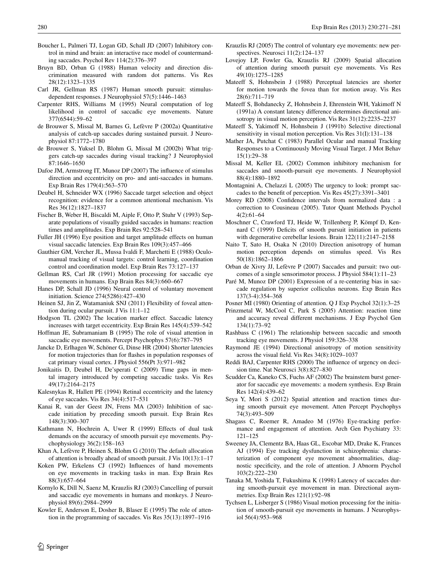- <span id="page-9-45"></span>Boucher L, Palmeri TJ, Logan GD, Schall JD (2007) Inhibitory control in mind and brain: an interactive race model of countermanding saccades. Psychol Rev 114(2):376–397
- <span id="page-9-46"></span>Bruyn BD, Orban G (1988) Human velocity and direction discrimination measured with random dot patterns. Vis Res 28(12):1323–1335
- <span id="page-9-34"></span>Carl JR, Gellman RS (1987) Human smooth pursuit: stimulusdependent responses. J Neurophysiol 57(5):1446–1463
- <span id="page-9-43"></span>Carpenter RHS, Williams M (1995) Neural computation of log likelihood in control of saccadic eye movements. Nature 377(6544):59–62
- <span id="page-9-40"></span>de Brouwer S, Missal M, Barnes G, Lefèvre P (2002a) Quantitative analysis of catch-up saccades during sustained pursuit. J Neurophysiol 87:1772–1780
- <span id="page-9-1"></span>de Brouwer S, Yuksel D, Blohm G, Missal M (2002b) What triggers catch-up saccades during visual tracking? J Neurophysiol 87:1646–1650
- <span id="page-9-24"></span>Dafoe JM, Armstrong IT, Munoz DP (2007) The influence of stimulus direction and eccentricity on pro- and anti-saccades in humans. Exp Brain Res 179(4):563–570
- <span id="page-9-7"></span>Deubel H, Schneider WX (1996) Saccade target selection and object recognition: evidence for a common attentional mechanism. Vis Res 36(12):1827–1837
- <span id="page-9-22"></span>Fischer B, Weber H, Biscaldi M, Aiple F, Otto P, Stuhr V (1993) Separate populations of visually guided saccades in humans: reaction times and amplitudes. Exp Brain Res 92:528–541
- <span id="page-9-25"></span>Fuller JH (1996) Eye position and target amplitude effects on human visual saccadic latencies. Exp Brain Res 109(3):457–466
- <span id="page-9-15"></span>Gauthier GM, Vercher JL, Mussa Ivaldi F, Marchetti E (1988) Oculomanual tracking of visual targets: control learning, coordination control and coordination model. Exp Brain Res 73:127–137
- <span id="page-9-39"></span>Gellman RS, Carl JR (1991) Motion processing for saccadic eye movements in humans. Exp Brain Res 84(3):660–667
- <span id="page-9-44"></span>Hanes DP, Schall JD (1996) Neural control of voluntary movement initiation. Science 274(5286):427–430
- <span id="page-9-10"></span>Heinen SJ, Jin Z, Watamaniuk SNJ (2011) Flexibility of foveal attention during ocular pursuit. J Vis 11:1–12
- <span id="page-9-23"></span>Hodgson TL (2002) The location marker effect. Saccadic latency increases with target eccentricity. Exp Brain Res 145(4):539–542
- <span id="page-9-9"></span>Hoffman JE, Subramaniam B (1995) The role of visual attention in saccadic eye movements. Percept Psychophys 57(6):787–795
- <span id="page-9-32"></span>Jancke D, Erlhagen W, Schöner G, Dinse HR (2004) Shorter latencies for motion trajectories than for flashes in population responses of cat primary visual cortex. J Physiol 556(Pt 3):971–982
- <span id="page-9-19"></span>Jonikaitis D, Deubel H, De'sperati C (2009) Time gaps in mental imagery introduced by competing saccadic tasks. Vis Res 49(17):2164–2175
- <span id="page-9-21"></span>Kalesnykas R, Hallett PE (1994) Retinal eccentricity and the latency of eye saccades. Vis Res 34(4):517–531
- <span id="page-9-3"></span>Kanai R, van der Geest JN, Frens MA (2003) Inhibition of saccade initiation by preceding smooth pursuit. Exp Brain Res 148(3):300–307
- <span id="page-9-18"></span>Kathmann N, Hochrein A, Uwer R (1999) Effects of dual task demands on the accuracy of smooth pursuit eye movements. Psychophysiology 36(2):158–163
- <span id="page-9-4"></span>Khan A, Lefèvre P, Heinen S, Blohm G (2010) The default allocation of attention is broadly ahead of smooth pursuit. J Vis 10(13):1–17
- <span id="page-9-16"></span>Koken PW, Erkelens CJ (1992) Influences of hand movements on eye movements in tracking tasks in man. Exp Brain Res 88(3):657–664
- <span id="page-9-37"></span>Kornylo K, Dill N, Saenz M, Krauzlis RJ (2003) Cancelling of pursuit and saccadic eye movements in humans and monkeys. J Neurophysiol 89(6):2984–2999
- <span id="page-9-8"></span>Kowler E, Anderson E, Dosher B, Blaser E (1995) The role of attention in the programming of saccades. Vis Res 35(13):1897–1916
- <span id="page-9-38"></span>Krauzlis RJ (2005) The control of voluntary eye movements: new perspectives. Neurosci 11(2):124–137
- <span id="page-9-11"></span>Lovejoy LP, Fowler Ga, Krauzlis RJ (2009) Spatial allocation of attention during smooth pursuit eye movements. Vis Res 49(10):1275–1285
- <span id="page-9-28"></span>Mateeff S, Hohnsbein J (1988) Perceptual latencies are shorter for motion towards the fovea than for motion away. Vis Res 28(6):711–719
- <span id="page-9-29"></span>Mateeff S, Bohdanecky Z, Hohnsbein J, Ehrenstein WH, Yakimoff N (1991a) A constant latency difference determines directional anisotropy in visual motion perception. Vis Res 31(12):2235–2237
- <span id="page-9-30"></span>Mateeff S, Yakimoff N, Hohnsbein J (1991b) Selective directional sensitivity in visual motion perception. Vis Res 31(I):131–138
- <span id="page-9-14"></span>Mather JA, Putchat C (1983) Parallel Ocular and manual Tracking Responses to a Continuously Moving Visual Target. J Mot Behav 15(1):29–38
- <span id="page-9-36"></span>Missal M, Keller EL (2002) Common inhibitory mechanism for saccades and smooth-pursuit eye movements. J Neurophysiol 88(4):1880–1892
- <span id="page-9-48"></span>Montagnini A, Chelazzi L (2005) The urgency to look: prompt saccades to the benefit of perception. Vis Res 45(27):3391–3401
- <span id="page-9-20"></span>Morey RD (2008) Confidence intervals from normalized data : a correction to Cousineau (2005). Tutor Quant Methods Psychol 4(2):61–64
- <span id="page-9-42"></span>Moschner C, Crawford TJ, Heide W, Trillenberg P, Kömpf D, Kennard C (1999) Deficits of smooth pursuit initiation in patients with degenerative cerebellar lesions. Brain 122(11):2147–2158
- <span id="page-9-27"></span>Naito T, Sato H, Osaka N (2010) Direction anisotropy of human motion perception depends on stimulus speed. Vis Res 50(18):1862–1866
- <span id="page-9-0"></span>Orban de Xivry JJ, Lefèvre P (2007) Saccades and pursuit: two outcomes of a single sensorimotor process. J Physiol 584(1):11–23
- <span id="page-9-26"></span>Paré M, Munoz DP (2001) Expression of a re-centering bias in saccade regulation by superior colliculus neurons. Exp Brain Res 137(3-4):354–368

- <span id="page-9-12"></span>Prinzmetal W, McCool C, Park S (2005) Attention: reaction time and accuracy reveal different mechanisms. J Exp Psychol Gen 134(1):73–92
- <span id="page-9-41"></span>Rashbass C (1961) The relationship between saccadic and smooth tracking eye movements. J Physiol 159:326–338
- <span id="page-9-31"></span>Raymond JE (1994) Directional anisotropy of motion sensitivity across the visual field. Vis Res 34(8):1029–1037
- <span id="page-9-47"></span>Reddi BAJ, Carpenter RHS (2000) The influence of urgency on decision time. Nat Neurosci 3(8):827–830
- <span id="page-9-35"></span>Scudder Ca, Kaneko CS, Fuchs AF (2002) The brainstem burst generator for saccadic eye movements: a modern synthesis. Exp Brain Res 142(4):439–62
- <span id="page-9-5"></span>Seya Y, Mori S (2012) Spatial attention and reaction times during smooth pursuit eye movement. Atten Percept Psychophys 74(3):493–509
- <span id="page-9-13"></span>Shagass C, Roemer R, Amadeo M (1976) Eye-tracking performance and engagement of attention. Arch Gen Psychiatry 33: 121–125
- <span id="page-9-17"></span>Sweeney JA, Clementz BA, Haas GL, Escobar MD, Drake K, Frances AJ (1994) Eye tracking dysfunction in schizophrenia: characterization of component eye movement abnormalities, diagnostic specificity, and the role of attention. J Abnorm Psychol 103(2):222–230
- <span id="page-9-2"></span>Tanaka M, Yoshida T, Fukushima K (1998) Latency of saccades during smooth-pursuit eye movement in man. Directional asymmetries. Exp Brain Res 121(1):92–98
- <span id="page-9-33"></span>Tychsen L, Lisberger S (1986) Visual motion processing for the initiation of smooth-pursuit eye movements in humans. J Neurophysiol 56(4):953–968

<span id="page-9-6"></span>Posner MI (1980) Orienting of attention. Q J Exp Psychol 32(1):3–25